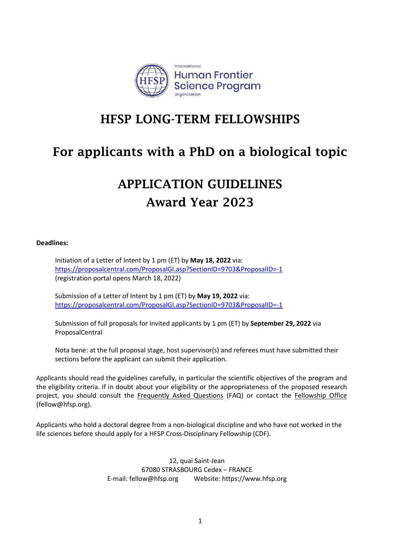

## HFSP LONG-TERM FELLOWSHIPS

# For applicants with a PhD on a biological topic

# APPLICATION GUIDELINES Award Year 2023

## **Deadlines:**

Initiation of a Letter of Intent by 1 pm (ET) by **May 18, 2022** via: <https://proposalcentral.com/ProposalGI.asp?SectionID=9703&ProposalID=-1> (registration portal opens March 18, 2022)

Submission of a Letter of Intent by 1 pm (ET) by **May 19, 2022** via: <https://proposalcentral.com/ProposalGI.asp?SectionID=9703&ProposalID=-1>

Submission of full proposals for invited applicants by 1 pm (ET) by **September 29, 2022** via ProposalCentral

Nota bene: at the full proposal stage, host supervisor(s) and referees must have submitted their sections before the applicant can submit their application.

Applicants should read the guidelines carefully, in particular the scientific objectives of the program and the eligibility criteria. If in doubt about your eligibility or the appropriateness of the proposed research project, you should consult the [Frequently Asked Questions](http://www.hfsp.org/funding/hfsp-funding/postdoctoral-fellowships) (FAQ) or contact the [Fellowship Office](mailto:fellow@hfsp.org)  (fellow@hfsp.org).

Applicants who hold a doctoral degree from a non-biological discipline and who have not worked in the life sciences before should apply for a HFSP Cross-Disciplinary Fellowship (CDF).

> 12, quai Saint-Jean 67080 STRASBOURG Cedex – FRANCE E-mail[: fellow@hfsp.org](mailto:fellow@hfsp.org) Website[: https://www.hfsp.org](https://www.hfsp.org/)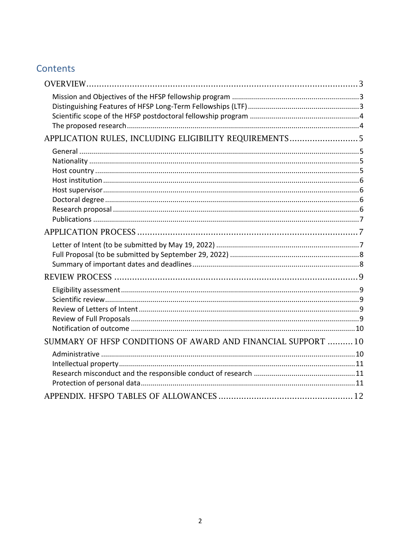## Contents

| APPLICATION RULES, INCLUDING ELIGIBILITY REQUIREMENTS 5       |  |
|---------------------------------------------------------------|--|
|                                                               |  |
|                                                               |  |
|                                                               |  |
|                                                               |  |
|                                                               |  |
|                                                               |  |
|                                                               |  |
|                                                               |  |
|                                                               |  |
|                                                               |  |
|                                                               |  |
|                                                               |  |
|                                                               |  |
|                                                               |  |
|                                                               |  |
|                                                               |  |
|                                                               |  |
|                                                               |  |
| SUMMARY OF HFSP CONDITIONS OF AWARD AND FINANCIAL SUPPORT  10 |  |
|                                                               |  |
|                                                               |  |
|                                                               |  |
|                                                               |  |
|                                                               |  |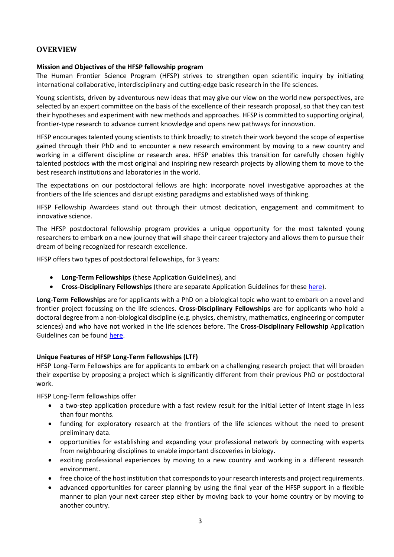## <span id="page-2-0"></span>**OVERVIEW**

## <span id="page-2-1"></span>**Mission and Objectives of the HFSP fellowship program**

The Human Frontier Science Program (HFSP) strives to strengthen open scientific inquiry by initiating international collaborative, interdisciplinary and cutting-edge basic research in the life sciences.

Young scientists, driven by adventurous new ideas that may give our view on the world new perspectives, are selected by an expert committee on the basis of the excellence of their research proposal, so that they can test their hypotheses and experiment with new methods and approaches. HFSP is committed to supporting original, frontier-type research to advance current knowledge and opens new pathways for innovation.

HFSP encourages talented young scientists to think broadly; to stretch their work beyond the scope of expertise gained through their PhD and to encounter a new research environment by moving to a new country and working in a different discipline or research area. HFSP enables this transition for carefully chosen highly talented postdocs with the most original and inspiring new research projects by allowing them to move to the best research institutions and laboratories in the world.

The expectations on our postdoctoral fellows are high: incorporate novel investigative approaches at the frontiers of the life sciences and disrupt existing paradigms and established ways of thinking.

HFSP Fellowship Awardees stand out through their utmost dedication, engagement and commitment to innovative science.

The HFSP postdoctoral fellowship program provides a unique opportunity for the most talented young researchers to embark on a new journey that will shape their career trajectory and allows them to pursue their dream of being recognized for research excellence.

HFSP offers two types of postdoctoral fellowships, for 3 years:

- **Long-Term Fellowships** (these Application Guidelines), and
- **Cross-Disciplinary Fellowships** (there are separate Application Guidelines for these [here\)](https://www.hfsp.org/funding/hfsp-funding/postdoctoral-fellowships).

<span id="page-2-2"></span>**Long-Term Fellowships** are for applicants with a PhD on a biological topic who want to embark on a novel and frontier project focussing on the life sciences. **Cross-Disciplinary Fellowships** are for applicants who hold a doctoral degree from a non-biological discipline (e.g. physics, chemistry, mathematics, engineering or computer sciences) and who have not worked in the life sciences before. The **Cross-Disciplinary Fellowship** Application Guidelines can be found [here.](https://www.hfsp.org/funding/hfsp-funding/postdoctoral-fellowships)

## **Unique Features of HFSP Long-Term Fellowships (LTF)**

HFSP Long-Term Fellowships are for applicants to embark on a challenging research project that will broaden their expertise by proposing a project which is significantly different from their previous PhD or postdoctoral work.

HFSP Long-Term fellowships offer

- a two-step application procedure with a fast review result for the initial Letter of Intent stage in less than four months.
- funding for exploratory research at the frontiers of the life sciences without the need to present preliminary data.
- opportunities for establishing and expanding your professional network by connecting with experts from neighbouring disciplines to enable important discoveries in biology.
- exciting professional experiences by moving to a new country and working in a different research environment.
- free choice of the host institution that corresponds to your research interests and project requirements.
- advanced opportunities for career planning by using the final year of the HFSP support in a flexible manner to plan your next career step either by moving back to your home country or by moving to another country.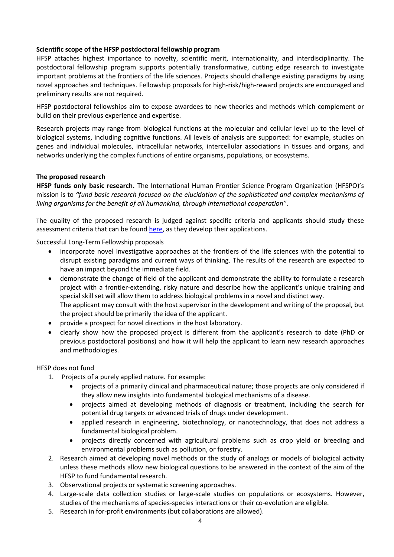## <span id="page-3-0"></span>**Scientific scope of the HFSP postdoctoral fellowship program**

HFSP attaches highest importance to novelty, scientific merit, internationality, and interdisciplinarity. The postdoctoral fellowship program supports potentially transformative, cutting edge research to investigate important problems at the frontiers of the life sciences. Projects should challenge existing paradigms by using novel approaches and techniques. Fellowship proposals for high-risk/high-reward projects are encouraged and preliminary results are not required.

HFSP postdoctoral fellowships aim to expose awardees to new theories and methods which complement or build on their previous experience and expertise.

Research projects may range from biological functions at the molecular and cellular level up to the level of biological systems, including cognitive functions. All levels of analysis are supported: for example, studies on genes and individual molecules, intracellular networks, intercellular associations in tissues and organs, and networks underlying the complex functions of entire organisms, populations, or ecosystems.

## <span id="page-3-1"></span>**The proposed research**

**HFSP funds only basic research.** The International Human Frontier Science Program Organization (HFSPO)'s mission is to *"fund basic research focused on the elucidation of the sophisticated and complex mechanisms of living organisms for the benefit of all humankind, through international cooperation"*.

The quality of the proposed research is judged against specific criteria and applicants should study these assessment criteria that can be found [here,](https://www.hfsp.org/sites/default/files/Sciences/fellows/2023%20HFSP%20Fellowships%20Information%20on%20review%20process%20and%20assessment%20criteria.pdf) as they develop their applications.

Successful Long-Term Fellowship proposals

- incorporate novel investigative approaches at the frontiers of the life sciences with the potential to disrupt existing paradigms and current ways of thinking. The results of the research are expected to have an impact beyond the immediate field.
- demonstrate the change of field of the applicant and demonstrate the ability to formulate a research project with a frontier-extending, risky nature and describe how the applicant's unique training and special skill set will allow them to address biological problems in a novel and distinct way. The applicant may consult with the host supervisor in the development and writing of the proposal, but the project should be primarily the idea of the applicant.
- provide a prospect for novel directions in the host laboratory.
- clearly show how the proposed project is different from the applicant's research to date (PhD or previous postdoctoral positions) and how it will help the applicant to learn new research approaches and methodologies.

## HFSP does not fund

- 1. Projects of a purely applied nature. For example:
	- projects of a primarily clinical and pharmaceutical nature; those projects are only considered if they allow new insights into fundamental biological mechanisms of a disease.
	- projects aimed at developing methods of diagnosis or treatment, including the search for potential drug targets or advanced trials of drugs under development.
	- applied research in engineering, biotechnology, or nanotechnology, that does not address a fundamental biological problem.
	- projects directly concerned with agricultural problems such as crop yield or breeding and environmental problems such as pollution, or forestry.
- 2. Research aimed at developing novel methods or the study of analogs or models of biological activity unless these methods allow new biological questions to be answered in the context of the aim of the HFSP to fund fundamental research.
- 3. Observational projects or systematic screening approaches.
- 4. Large-scale data collection studies or large-scale studies on populations or ecosystems. However, studies of the mechanisms of species-species interactions or their co-evolution are eligible.
- 5. Research in for-profit environments (but collaborations are allowed).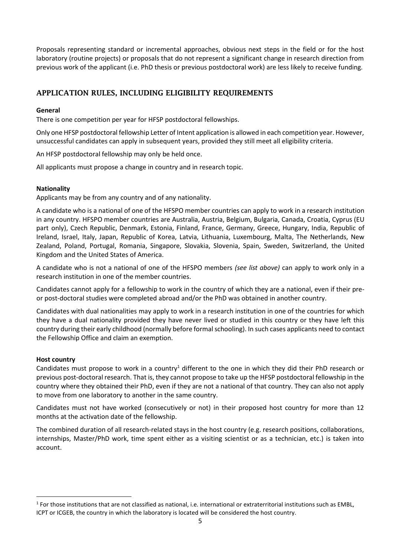Proposals representing standard or incremental approaches, obvious next steps in the field or for the host laboratory (routine projects) or proposals that do not represent a significant change in research direction from previous work of the applicant (i.e. PhD thesis or previous postdoctoral work) are less likely to receive funding.

## <span id="page-4-0"></span>APPLICATION RULES, INCLUDING ELIGIBILITY REQUIREMENTS

## <span id="page-4-1"></span>**General**

There is one competition per year for HFSP postdoctoral fellowships.

Only one HFSP postdoctoral fellowship Letter of Intent application is allowed in each competition year. However, unsuccessful candidates can apply in subsequent years, provided they still meet all eligibility criteria.

An HFSP postdoctoral fellowship may only be held once.

All applicants must propose a change in country and in research topic.

## <span id="page-4-2"></span>**Nationality**

Applicants may be from any country and of any nationality.

A candidate who is a national of one of the HFSPO member countries can apply to work in a research institution in any country. HFSPO member countries are Australia, Austria, Belgium, Bulgaria, Canada, Croatia, Cyprus (EU part only), Czech Republic, Denmark, Estonia, Finland, France, Germany, Greece, Hungary, India, Republic of Ireland, Israel, Italy, Japan, Republic of Korea, Latvia, Lithuania, Luxembourg, Malta, The Netherlands, New Zealand, Poland, Portugal, Romania, Singapore, Slovakia, Slovenia, Spain, Sweden, Switzerland, the United Kingdom and the United States of America.

A candidate who is not a national of one of the HFSPO members *(see list above)* can apply to work only in a research institution in one of the member countries.

Candidates cannot apply for a fellowship to work in the country of which they are a national, even if their preor post-doctoral studies were completed abroad and/or the PhD was obtained in another country.

Candidates with dual nationalities may apply to work in a research institution in one of the countries for which they have a dual nationality provided they have never lived or studied in this country or they have left this country during their early childhood (normally before formal schooling). In such cases applicants need to contact the Fellowship Office and claim an exemption.

## <span id="page-4-3"></span>**Host country**

Candidates must propose to work in a country<sup>1</sup> different to the one in which they did their PhD research or previous post-doctoral research. That is, they cannot propose to take up the HFSP postdoctoral fellowship in the country where they obtained their PhD, even if they are not a national of that country. They can also not apply to move from one laboratory to another in the same country.

Candidates must not have worked (consecutively or not) in their proposed host country for more than 12 months at the activation date of the fellowship.

The combined duration of all research-related stays in the host country (e.g. research positions, collaborations, internships, Master/PhD work, time spent either as a visiting scientist or as a technician, etc.) is taken into account.

 $^1$  For those institutions that are not classified as national, i.e. international or extraterritorial institutions such as EMBL, ICPT or ICGEB, the country in which the laboratory is located will be considered the host country.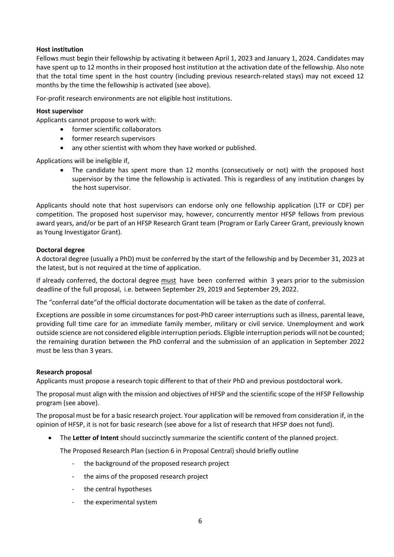## <span id="page-5-0"></span>**Host institution**

Fellows must begin their fellowship by activating it between April 1, 2023 and January 1, 2024. Candidates may have spent up to 12 months in their proposed host institution at the activation date of the fellowship. Also note that the total time spent in the host country (including previous research-related stays) may not exceed 12 months by the time the fellowship is activated (see above).

For-profit research environments are not eligible host institutions.

## <span id="page-5-1"></span>**Host supervisor**

Applicants cannot propose to work with:

- former scientific collaborators
- former research supervisors
- any other scientist with whom they have worked or published.

Applications will be ineligible if,

The candidate has spent more than 12 months (consecutively or not) with the proposed host supervisor by the time the fellowship is activated. This is regardless of any institution changes by the host supervisor.

Applicants should note that host supervisors can endorse only one fellowship application (LTF or CDF) per competition. The proposed host supervisor may, however, concurrently mentor HFSP fellows from previous award years, and/or be part of an HFSP Research Grant team (Program or Early Career Grant, previously known as Young Investigator Grant).

## <span id="page-5-2"></span>**Doctoral degree**

A doctoral degree (usually a PhD) must be conferred by the start of the fellowship and by December 31, 2023 at the latest, but is not required at the time of application.

If already conferred, the doctoral degree must have been conferred within 3 years prior to the submission deadline of the full proposal, i.e. between September 29, 2019 and September 29, 2022.

The "conferral date"of the official doctorate documentation will be taken as the date of conferral.

Exceptions are possible in some circumstances for post-PhD career interruptions such as illness, parental leave, providing full time care for an immediate family member, military or civil service. Unemployment and work outside science are not considered eligible interruption periods. Eligible interruption periods will not be counted; the remaining duration between the PhD conferral and the submission of an application in September 2022 must be less than 3 years.

## <span id="page-5-3"></span>**Research proposal**

Applicants must propose a research topic different to that of their PhD and previous postdoctoral work.

The proposal must align with the mission and objectives of HFSP and the scientific scope of the HFSP Fellowship program (see above).

The proposal must be for a basic research project. Your application will be removed from consideration if, in the opinion of HFSP, it is not for basic research (see above for a list of research that HFSP does not fund).

• The **Letter of Intent** should succinctly summarize the scientific content of the planned project.

The Proposed Research Plan (section 6 in Proposal Central) should briefly outline

- the background of the proposed research project
- the aims of the proposed research project
- the central hypotheses
- the experimental system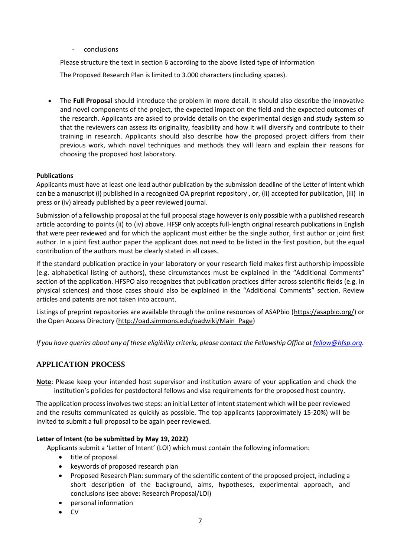- conclusions

Please structure the text in section 6 according to the above listed type of information

The Proposed Research Plan is limited to 3.000 characters (including spaces).

• The **Full Proposal** should introduce the problem in more detail. It should also describe the innovative and novel components of the project, the expected impact on the field and the expected outcomes of the research. Applicants are asked to provide details on the experimental design and study system so that the reviewers can assess its originality, feasibility and how it will diversify and contribute to their training in research. Applicants should also describe how the proposed project differs from their previous work, which novel techniques and methods they will learn and explain their reasons for choosing the proposed host laboratory.

## <span id="page-6-0"></span>**Publications**

Applicants must have at least one lead author publication by the submission deadline of the Letter of Intent which can be a manuscript (i) published in a recognized OA preprint repository, or, (ii) accepted for publication, (iii) in press or (iv) already published by a peer reviewed journal.

Submission of a fellowship proposal at the full proposal stage however is only possible with a published research article according to points (ii) to (iv) above. HFSP only accepts full-length original research publications in English that were peer reviewed and for which the applicant must either be the single author, first author or joint first author. In a joint first author paper the applicant does not need to be listed in the first position, but the equal contribution of the authors must be clearly stated in all cases.

If the standard publication practice in your laboratory or your research field makes first authorship impossible (e.g. alphabetical listing of authors), these circumstances must be explained in the "Additional Comments" section of the application. HFSPO also recognizes that publication practices differ across scientific fields (e.g. in physical sciences) and those cases should also be explained in the "Additional Comments" section. Review articles and patents are not taken into account.

Listings of preprint repositories are available through the online resources of ASAPbio [\(https://asapbio.org/\)](https://asapbio.org/) or the Open Access Directory [\(http://oad.simmons.edu/oadwiki/Main\\_Page\)](http://oad.simmons.edu/oadwiki/Main_Page)

*If you have queries about any of these eligibility criteria, please contact the Fellowship Office at [fellow@hfsp.org.](mailto:fellow@hfsp.org)*

## <span id="page-6-1"></span>APPLICATION PROCESS

**Note**: Please keep your intended host supervisor and institution aware of your application and check the institution's policies for postdoctoral fellows and visa requirements for the proposed host country.

The application process involves two steps: an initial Letter of Intent statement which will be peer reviewed and the results communicated as quickly as possible. The top applicants (approximately 15-20%) will be invited to submit a full proposal to be again peer reviewed.

## <span id="page-6-2"></span>**Letter of Intent (to be submitted by May 19, 2022)**

Applicants submit a 'Letter of Intent' (LOI) which must contain the following information:

- title of proposal
- keywords of proposed research plan
- Proposed Research Plan: summary of the scientific content of the proposed project, including a short description of the background, aims, hypotheses, experimental approach, and conclusions (see above: Research Proposal/LOI)
- personal information
- CV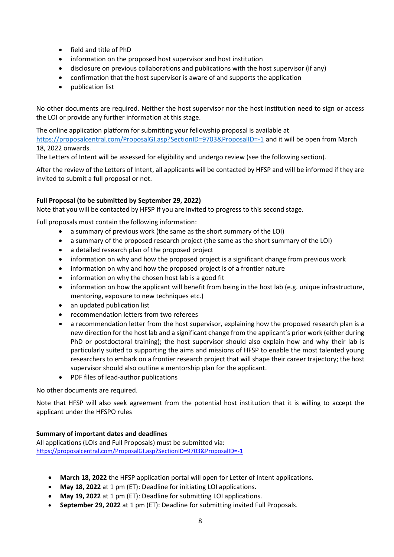- field and title of PhD
- information on the proposed host supervisor and host institution
- disclosure on previous collaborations and publications with the host supervisor (if any)
- confirmation that the host supervisor is aware of and supports the application
- publication list

No other documents are required. Neither the host supervisor nor the host institution need to sign or access the LOI or provide any further information at this stage.

The online application platform for submitting your fellowship proposal is available at

<https://proposalcentral.com/ProposalGI.asp?SectionID=9703&ProposalID=-1> and it will be open from March 18, 2022 onwards.

The Letters of Intent will be assessed for eligibility and undergo review (see the following section).

After the review of the Letters of Intent, all applicants will be contacted by HFSP and will be informed if they are invited to submit a full proposal or not.

## <span id="page-7-0"></span>**Full Proposal (to be submitted by September 29, 2022)**

Note that you will be contacted by HFSP if you are invited to progress to this second stage.

Full proposals must contain the following information:

- a summary of previous work (the same as the short summary of the LOI)
- a summary of the proposed research project (the same as the short summary of the LOI)
- a detailed research plan of the proposed project
- information on why and how the proposed project is a significant change from previous work
- information on why and how the proposed project is of a frontier nature
- information on why the chosen host lab is a good fit
- information on how the applicant will benefit from being in the host lab (e.g. unique infrastructure, mentoring, exposure to new techniques etc.)
- an updated publication list
- recommendation letters from two referees
- a recommendation letter from the host supervisor, explaining how the proposed research plan is a new direction for the host lab and a significant change from the applicant's prior work (either during PhD or postdoctoral training); the host supervisor should also explain how and why their lab is particularly suited to supporting the aims and missions of HFSP to enable the most talented young researchers to embark on a frontier research project that will shape their career trajectory; the host supervisor should also outline a mentorship plan for the applicant.
- PDF files of lead-author publications

No other documents are required.

Note that HFSP will also seek agreement from the potential host institution that it is willing to accept the applicant under the HFSPO rules

## <span id="page-7-1"></span>**Summary of important dates and deadlines**

All applications (LOIs and Full Proposals) must be submitted via: <https://proposalcentral.com/ProposalGI.asp?SectionID=9703&ProposalID=-1>

- **March 18, 2022** the HFSP application portal will open for Letter of Intent applications.
- **May 18, 2022** at 1 pm (ET): Deadline for initiating LOI applications.
- **May 19, 2022** at 1 pm (ET): Deadline for submitting LOI applications.
- **September 29, 2022** at 1 pm (ET): Deadline for submitting invited Full Proposals.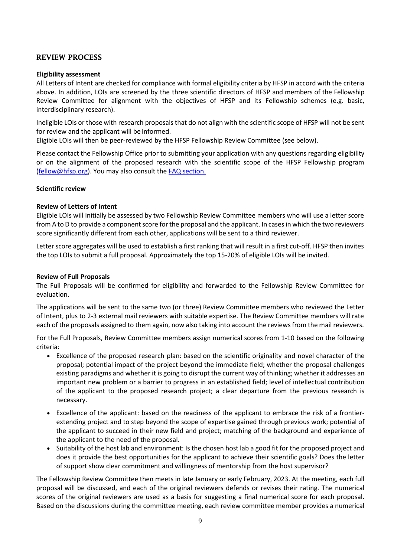## <span id="page-8-0"></span>REVIEW PROCESS

## <span id="page-8-1"></span>**Eligibility assessment**

All Letters of Intent are checked for compliance with formal eligibility criteria by HFSP in accord with the criteria above. In addition, LOIs are screened by the three scientific directors of HFSP and members of the Fellowship Review Committee for alignment with the objectives of HFSP and its Fellowship schemes (e.g. basic, interdisciplinary research).

Ineligible LOIs or those with research proposals that do not align with the scientific scope of HFSP will not be sent for review and the applicant will be informed.

Eligible LOIs will then be peer-reviewed by the HFSP Fellowship Review Committee (see below).

Please contact the Fellowship Office prior to submitting your application with any questions regarding eligibility or on the alignment of the proposed research with the scientific scope of the HFSP Fellowship program [\(fellow@hfsp.org\)](mailto:fellow@hfsp.org). You may also consult the [FAQ section.](https://www.hfsp.org/funding/hfsp-funding/postdoctoral-fellowships)

## <span id="page-8-2"></span>**Scientific review**

## <span id="page-8-3"></span>**Review of Letters of Intent**

Eligible LOIs will initially be assessed by two Fellowship Review Committee members who will use a letter score from A to D to provide a component score for the proposal and the applicant. In cases in which the two reviewers score significantly different from each other, applications will be sent to a third reviewer.

Letter score aggregates will be used to establish a first ranking that will result in a first cut-off. HFSP then invites the top LOIs to submit a full proposal. Approximately the top 15-20% of eligible LOIs will be invited.

## <span id="page-8-4"></span>**Review of Full Proposals**

The Full Proposals will be confirmed for eligibility and forwarded to the Fellowship Review Committee for evaluation.

The applications will be sent to the same two (or three) Review Committee members who reviewed the Letter of Intent, plus to 2-3 external mail reviewers with suitable expertise. The Review Committee members will rate each of the proposals assigned to them again, now also taking into account the reviews from the mail reviewers.

For the Full Proposals, Review Committee members assign numerical scores from 1-10 based on the following criteria:

- Excellence of the proposed research plan: based on the scientific originality and novel character of the proposal; potential impact of the project beyond the immediate field; whether the proposal challenges existing paradigms and whether it is going to disrupt the current way of thinking; whether it addresses an important new problem or a barrier to progress in an established field; level of intellectual contribution of the applicant to the proposed research project; a clear departure from the previous research is necessary.
- Excellence of the applicant: based on the readiness of the applicant to embrace the risk of a frontierextending project and to step beyond the scope of expertise gained through previous work; potential of the applicant to succeed in their new field and project; matching of the background and experience of the applicant to the need of the proposal.
- Suitability of the host lab and environment: Is the chosen host lab a good fit for the proposed project and does it provide the best opportunities for the applicant to achieve their scientific goals? Does the letter of support show clear commitment and willingness of mentorship from the host supervisor?

The Fellowship Review Committee then meets in late January or early February, 2023. At the meeting, each full proposal will be discussed, and each of the original reviewers defends or revises their rating. The numerical scores of the original reviewers are used as a basis for suggesting a final numerical score for each proposal. Based on the discussions during the committee meeting, each review committee member provides a numerical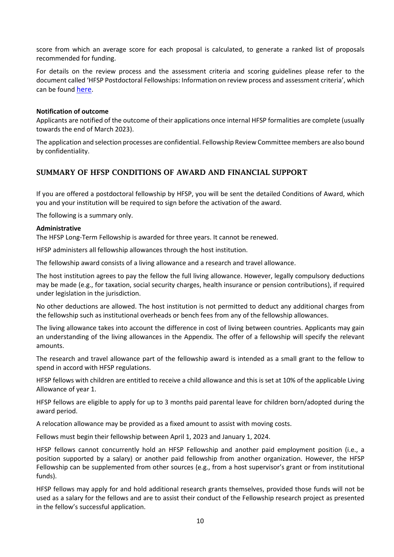score from which an average score for each proposal is calculated, to generate a ranked list of proposals recommended for funding.

For details on the review process and the assessment criteria and scoring guidelines please refer to the document called 'HFSP Postdoctoral Fellowships: Information on review process and assessment criteria', which can be found [here](https://www.hfsp.org/sites/default/files/Sciences/fellows/2023%20HFSP%20Fellowships%20Information%20on%20review%20process%20and%20assessment%20criteria.pdf).

#### <span id="page-9-0"></span>**Notification of outcome**

Applicants are notified of the outcome of their applications once internal HFSP formalities are complete (usually towards the end of March 2023).

The application and selection processes are confidential. Fellowship Review Committee members are also bound by confidentiality.

## <span id="page-9-1"></span>SUMMARY OF HFSP CONDITIONS OF AWARD AND FINANCIAL SUPPORT

If you are offered a postdoctoral fellowship by HFSP, you will be sent the detailed Conditions of Award, which you and your institution will be required to sign before the activation of the award.

The following is a summary only.

#### <span id="page-9-2"></span>**Administrative**

The HFSP Long-Term Fellowship is awarded for three years. It cannot be renewed.

HFSP administers all fellowship allowances through the host institution.

The fellowship award consists of a living allowance and a research and travel allowance.

The host institution agrees to pay the fellow the full living allowance. However, legally compulsory deductions may be made (e.g., for taxation, social security charges, health insurance or pension contributions), if required under legislation in the jurisdiction.

No other deductions are allowed. The host institution is not permitted to deduct any additional charges from the fellowship such as institutional overheads or bench fees from any of the fellowship allowances.

The living allowance takes into account the difference in cost of living between countries. Applicants may gain an understanding of the living allowances in the Appendix. The offer of a fellowship will specify the relevant amounts.

The research and travel allowance part of the fellowship award is intended as a small grant to the fellow to spend in accord with HFSP regulations.

HFSP fellows with children are entitled to receive a child allowance and this is set at 10% of the applicable Living Allowance of year 1.

HFSP fellows are eligible to apply for up to 3 months paid parental leave for children born/adopted during the award period.

A relocation allowance may be provided as a fixed amount to assist with moving costs.

Fellows must begin their fellowship between April 1, 2023 and January 1, 2024.

HFSP fellows cannot concurrently hold an HFSP Fellowship and another paid employment position (i.e., a position supported by a salary) or another paid fellowship from another organization. However, the HFSP Fellowship can be supplemented from other sources (e.g., from a host supervisor's grant or from institutional funds).

HFSP fellows may apply for and hold additional research grants themselves, provided those funds will not be used as a salary for the fellows and are to assist their conduct of the Fellowship research project as presented in the fellow's successful application.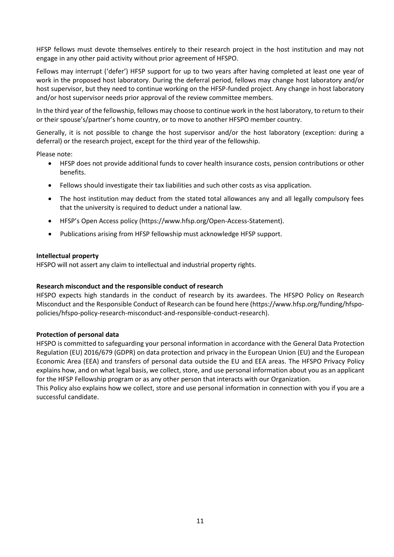HFSP fellows must devote themselves entirely to their research project in the host institution and may not engage in any other paid activity without prior agreement of HFSPO.

Fellows may interrupt ('defer') HFSP support for up to two years after having completed at least one year of work in the proposed host laboratory. During the deferral period, fellows may change host laboratory and/or host supervisor, but they need to continue working on the HFSP-funded project. Any change in host laboratory and/or host supervisor needs prior approval of the review committee members.

In the third year of the fellowship, fellows may choose to continue work in the host laboratory, to return to their or their spouse's/partner's home country, or to move to another HFSPO member country.

Generally, it is not possible to change the host supervisor and/or the host laboratory (exception: during a deferral) or the research project, except for the third year of the fellowship.

Please note:

- HFSP does not provide additional funds to cover health insurance costs, pension contributions or other benefits.
- Fellows should investigate their tax liabilities and such other costs as visa application.
- The host institution may deduct from the stated total allowances any and all legally compulsory fees that the university is required to deduct under a national law.
- HFSP's Open Access policy (https://www.hfsp.org/Open-Access-Statement).
- Publications arising from HFSP fellowship must acknowledge HFSP support.

#### <span id="page-10-0"></span>**Intellectual property**

HFSPO will not assert any claim to intellectual and industrial property rights.

## <span id="page-10-1"></span>**Research misconduct and the responsible conduct of research**

HFSPO expects high standards in the conduct of research by its awardees. The HFSPO Policy on Research Misconduct and the Responsible Conduct of Research can be found here (https://www.hfsp.org/funding/hfspopolicies/hfspo-policy-research-misconduct-and-responsible-conduct-research).

## <span id="page-10-2"></span>**Protection of personal data**

HFSPO is committed to safeguarding your personal information in accordance with the General Data Protection Regulation (EU) 2016/679 (GDPR) on data protection and privacy in the European Union (EU) and the European Economic Area (EEA) and transfers of personal data outside the EU and EEA areas. The [HFSPO Privacy Policy](http://www.hfsp.org/funding/hfspo-policies/hfspo-privacy-policy) explains how, and on what legal basis, we collect, store, and use personal information about you as an applicant for the HFSP Fellowship program or as any other person that interacts with our Organization.

This Policy also explains how we collect, store and use personal information in connection with you if you are a successful candidate.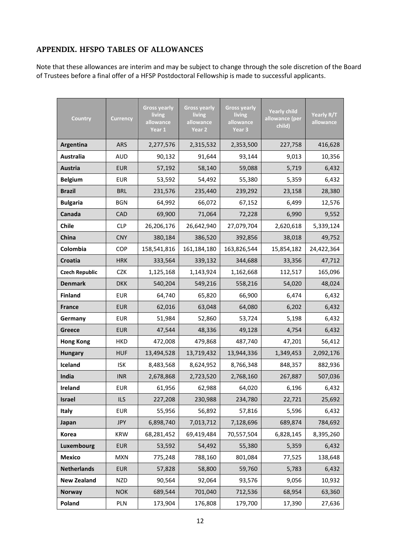## <span id="page-11-0"></span>APPENDIX. HFSPO TABLES OF ALLOWANCES

Note that these allowances are interim and may be subject to change through the sole discretion of the Board of Trustees before a final offer of a HFSP Postdoctoral Fellowship is made to successful applicants.

| Country               | <b>Currency</b> | <b>Gross yearly</b><br>living<br>allowance<br>Year 1 | <b>Gross yearly</b><br>living<br>allowance<br>Year 2 | <b>Gross yearly</b><br>living<br>allowance<br>Year <sub>3</sub> | <b>Yearly child</b><br>allowance (per<br>child) | Yearly R/T<br>allowance |
|-----------------------|-----------------|------------------------------------------------------|------------------------------------------------------|-----------------------------------------------------------------|-------------------------------------------------|-------------------------|
| Argentina             | <b>ARS</b>      | 2,277,576                                            | 2,315,532                                            | 2,353,500                                                       | 227,758                                         | 416,628                 |
| Australia             | <b>AUD</b>      | 90,132                                               | 91,644                                               | 93,144                                                          | 9,013                                           | 10,356                  |
| Austria               | <b>EUR</b>      | 57,192                                               | 58,140                                               | 59,088                                                          | 5,719                                           | 6,432                   |
| <b>Belgium</b>        | <b>EUR</b>      | 53,592                                               | 54,492                                               | 55,380                                                          | 5,359                                           | 6,432                   |
| <b>Brazil</b>         | <b>BRL</b>      | 231,576                                              | 235,440                                              | 239,292                                                         | 23,158                                          | 28,380                  |
| <b>Bulgaria</b>       | BGN             | 64,992                                               | 66,072                                               | 67,152                                                          | 6,499                                           | 12,576                  |
| Canada                | <b>CAD</b>      | 69,900                                               | 71,064                                               | 72,228                                                          | 6,990                                           |                         |
| <b>Chile</b>          | <b>CLP</b>      | 26,206,176                                           | 26,642,940                                           | 27,079,704                                                      | 2,620,618                                       | 5,339,124               |
| China                 | <b>CNY</b>      | 380,184                                              | 386,520                                              | 392,856                                                         | 38,018                                          |                         |
| Colombia              | <b>COP</b>      | 158,541,816                                          | 161,184,180                                          | 163,826,544                                                     | 15,854,182                                      | 24,422,364              |
| Croatia               | <b>HRK</b>      | 333,564                                              | 339,132                                              | 33,356<br>344,688                                               |                                                 | 47,712                  |
| <b>Czech Republic</b> | <b>CZK</b>      | 1,125,168                                            | 1,143,924                                            | 1,162,668                                                       | 112,517                                         |                         |
| <b>Denmark</b>        | <b>DKK</b>      | 540,204                                              | 549,216                                              | 558,216<br>54,020                                               |                                                 | 48,024                  |
| <b>Finland</b>        | <b>EUR</b>      | 64,740                                               | 65,820                                               | 66,900                                                          | 6,474                                           | 6,432                   |
| <b>France</b>         | <b>EUR</b>      | 62,016                                               | 63,048                                               | 64,080                                                          | 6,202                                           | 6,432                   |
| Germany               | <b>EUR</b>      | 51,984                                               | 52,860                                               | 53,724                                                          | 5,198                                           | 6,432                   |
| Greece                | <b>EUR</b>      | 47,544                                               | 48,336                                               | 49,128                                                          | 4,754                                           | 6,432                   |
| <b>Hong Kong</b>      | <b>HKD</b>      | 472,008                                              | 479,868                                              | 487,740                                                         | 47,201                                          | 56,412                  |
| <b>Hungary</b>        | <b>HUF</b>      | 13,494,528                                           | 13,719,432                                           | 13,944,336                                                      | 1,349,453                                       | 2,092,176               |
| Iceland               | <b>ISK</b>      | 8,483,568                                            | 8,624,952                                            | 8,766,348                                                       | 848,357                                         | 882,936                 |
| India                 | <b>INR</b>      | 2,678,868                                            | 2,723,520                                            | 2,768,160                                                       | 267,887                                         | 507,036                 |
| Ireland               | <b>EUR</b>      | 61,956                                               | 62,988                                               | 64,020<br>6,196                                                 |                                                 | 6,432                   |
| <b>Israel</b>         | <b>ILS</b>      | 227,208                                              | 230,988                                              | 234,780<br>22,721                                               |                                                 | 25,692                  |
| Italy                 | <b>EUR</b>      | 55,956                                               | 56,892                                               | 57,816<br>5,596                                                 |                                                 | 6,432                   |
| Japan                 | <b>JPY</b>      | 6,898,740                                            | 7,013,712                                            | 7,128,696<br>689,874                                            |                                                 | 784,692                 |
| Korea                 | <b>KRW</b>      | 68,281,452                                           | 69,419,484                                           | 70,557,504                                                      | 6,828,145                                       | 8,395,260               |
| Luxembourg            | <b>EUR</b>      | 53,592                                               | 54,492                                               | 55,380                                                          | 5,359                                           | 6,432                   |
| <b>Mexico</b>         | <b>MXN</b>      | 775,248                                              | 788,160                                              | 801,084                                                         | 77,525                                          | 138,648                 |
| <b>Netherlands</b>    | <b>EUR</b>      | 57,828                                               | 58,800                                               | 59,760                                                          | 5,783                                           | 6,432                   |
| <b>New Zealand</b>    | <b>NZD</b>      | 90,564                                               | 92,064                                               | 93,576                                                          | 9,056                                           | 10,932                  |
| <b>Norway</b>         | <b>NOK</b>      | 689,544                                              | 701,040                                              | 712,536                                                         | 68,954                                          | 63,360                  |
| Poland                | PLN             | 173,904                                              | 176,808                                              | 179,700                                                         | 17,390                                          | 27,636                  |